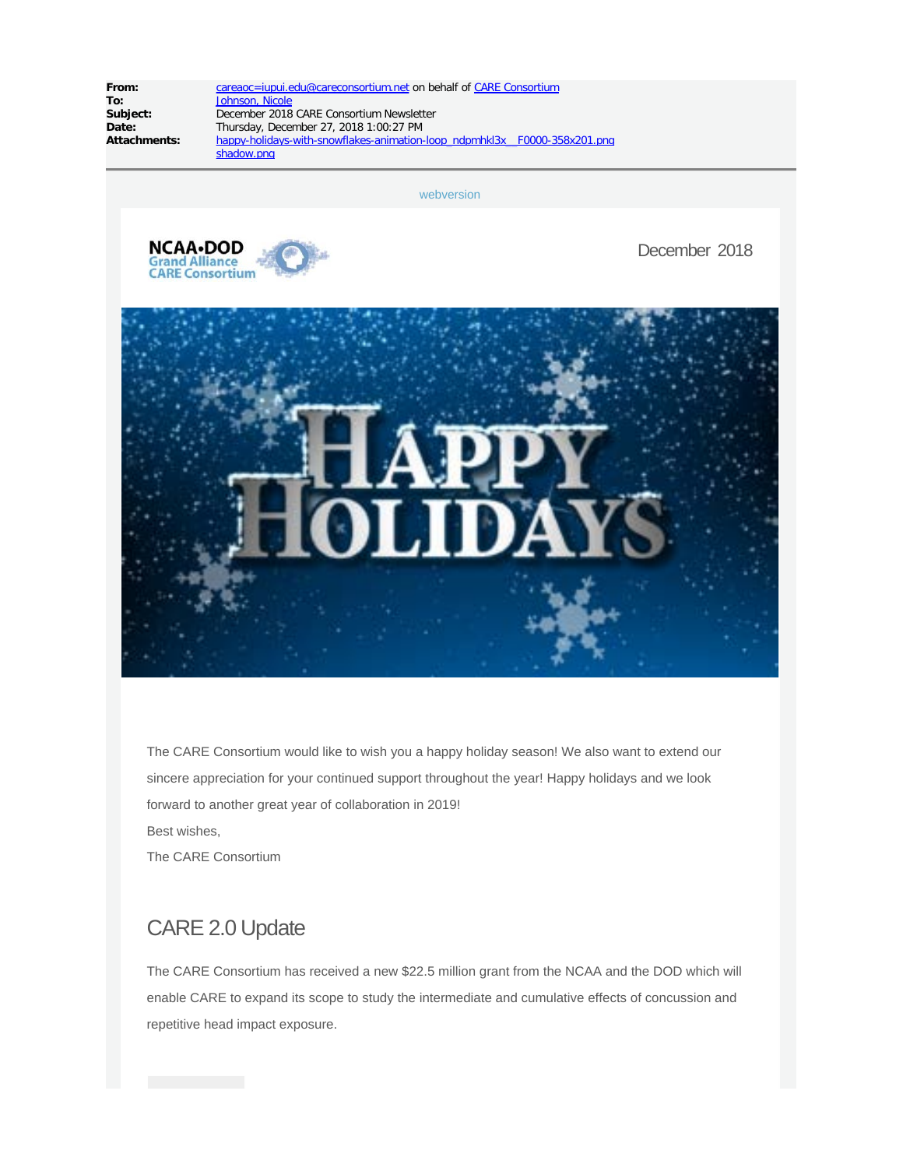**To:** [Johnson, Nicole](mailto:njohnso2@iu.edu)<br> **Subject:** December 2018

**From:** [careaoc=iupui.edu@careconsortium.net](mailto:careaoc=iupui.edu@careconsortium.net) on behalf of [CARE Consortium](mailto:careaoc@iupui.edu)<br> **To:** Johnson, Nicole **Subject:** December 2018 CARE Consortium Newsletter<br>
Date: Thursday, December 27, 2018 1:00:27 PM Date: Thursday, December 27, 2018 1:00:27 PM<br>Attachments: happy-holidays-with-snowflakes-animationhappy-holidays-with-snowflakes-animation-loop\_ndpmhkl3x\_F0000-358x201.png shadow.png

[webversion](http://careconsortium.net/mailster/2818/7232e321d230c175912fcbbafb0ae99d/aHR0cDovL2NhcmVjb25zb3J0aXVtLm5ldC9uZXdzbGV0dGVyL29jdG9iZXItMjAxOC1jYXJlLWNvbnNvcnRpdW0tbmV3c2xldHRlci8)



December 2018



The CARE Consortium would like to wish you a happy holiday season! We also want to extend our sincere appreciation for your continued support throughout the year! Happy holidays and we look forward to another great year of collaboration in 2019! Best wishes, The CARE Consortium

# CARE 2.0 Update

The CARE Consortium has received a new \$22.5 million grant from the NCAA and the DOD which will enable CARE to expand its scope to study the intermediate and cumulative effects of concussion and repetitive head impact exposure.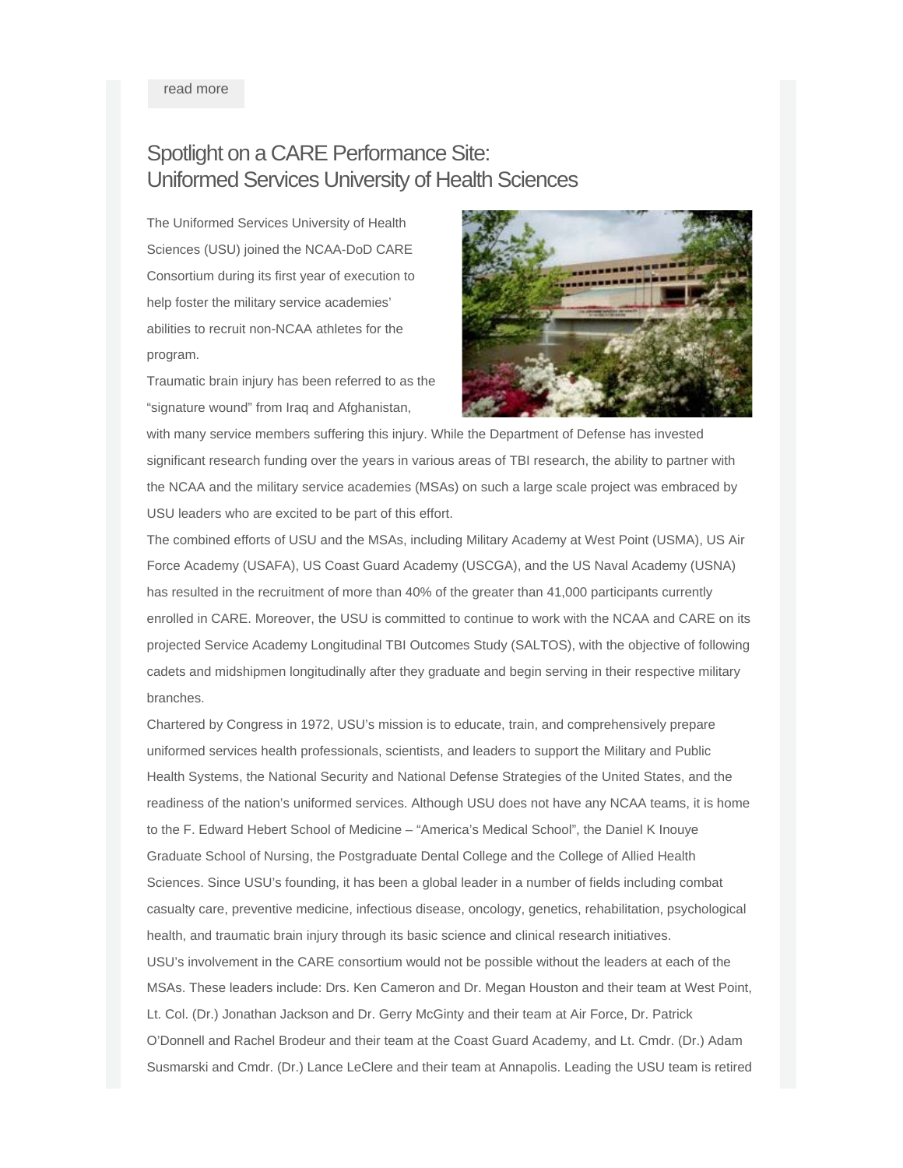read [more](http://careconsortium.net/mailster/2818/7232e321d230c175912fcbbafb0ae99d/aHR0cDovL2NhcmVjb25zb3J0aXVtLm5ldC9hLW5ldy0yMi01LW1pbGxpb24tZ3JhbnQtZnJvbS10aGUtbmNhYS1hbmQtZG9kLWlzLWVuYWJsaW5nLWNhcmUtdG8tZXhwYW5kLWl0cy1zY29wZS8)

# Spotlight on a CARE Performance Site: Uniformed Services University of Health Sciences

The Uniformed Services University of Health Sciences (USU) joined the NCAA-DoD CARE Consortium during its first year of execution to help foster the military service academies' abilities to recruit non-NCAA athletes for the program.

Traumatic brain injury has been referred to as the "signature wound" from Iraq and Afghanistan,



with many service members suffering this injury. While the Department of Defense has invested significant research funding over the years in various areas of TBI research, the ability to partner with the NCAA and the military service academies (MSAs) on such a large scale project was embraced by USU leaders who are excited to be part of this effort.

The combined efforts of USU and the MSAs, including Military Academy at West Point (USMA), US Air Force Academy (USAFA), US Coast Guard Academy (USCGA), and the US Naval Academy (USNA) has resulted in the recruitment of more than 40% of the greater than 41,000 participants currently enrolled in CARE. Moreover, the USU is committed to continue to work with the NCAA and CARE on its projected Service Academy Longitudinal TBI Outcomes Study (SALTOS), with the objective of following cadets and midshipmen longitudinally after they graduate and begin serving in their respective military branches.

Chartered by Congress in 1972, USU's mission is to educate, train, and comprehensively prepare uniformed services health professionals, scientists, and leaders to support the Military and Public Health Systems, the National Security and National Defense Strategies of the United States, and the readiness of the nation's uniformed services. Although USU does not have any NCAA teams, it is home to the F. Edward Hebert School of Medicine – "America's Medical School", the Daniel K Inouye Graduate School of Nursing, the Postgraduate Dental College and the College of Allied Health Sciences. Since USU's founding, it has been a global leader in a number of fields including combat casualty care, preventive medicine, infectious disease, oncology, genetics, rehabilitation, psychological health, and traumatic brain injury through its basic science and clinical research initiatives. USU's involvement in the CARE consortium would not be possible without the leaders at each of the MSAs. These leaders include: Drs. Ken Cameron and Dr. Megan Houston and their team at West Point, Lt. Col. (Dr.) Jonathan Jackson and Dr. Gerry McGinty and their team at Air Force, Dr. Patrick O'Donnell and Rachel Brodeur and their team at the Coast Guard Academy, and Lt. Cmdr. (Dr.) Adam Susmarski and Cmdr. (Dr.) Lance LeClere and their team at Annapolis. Leading the USU team is retired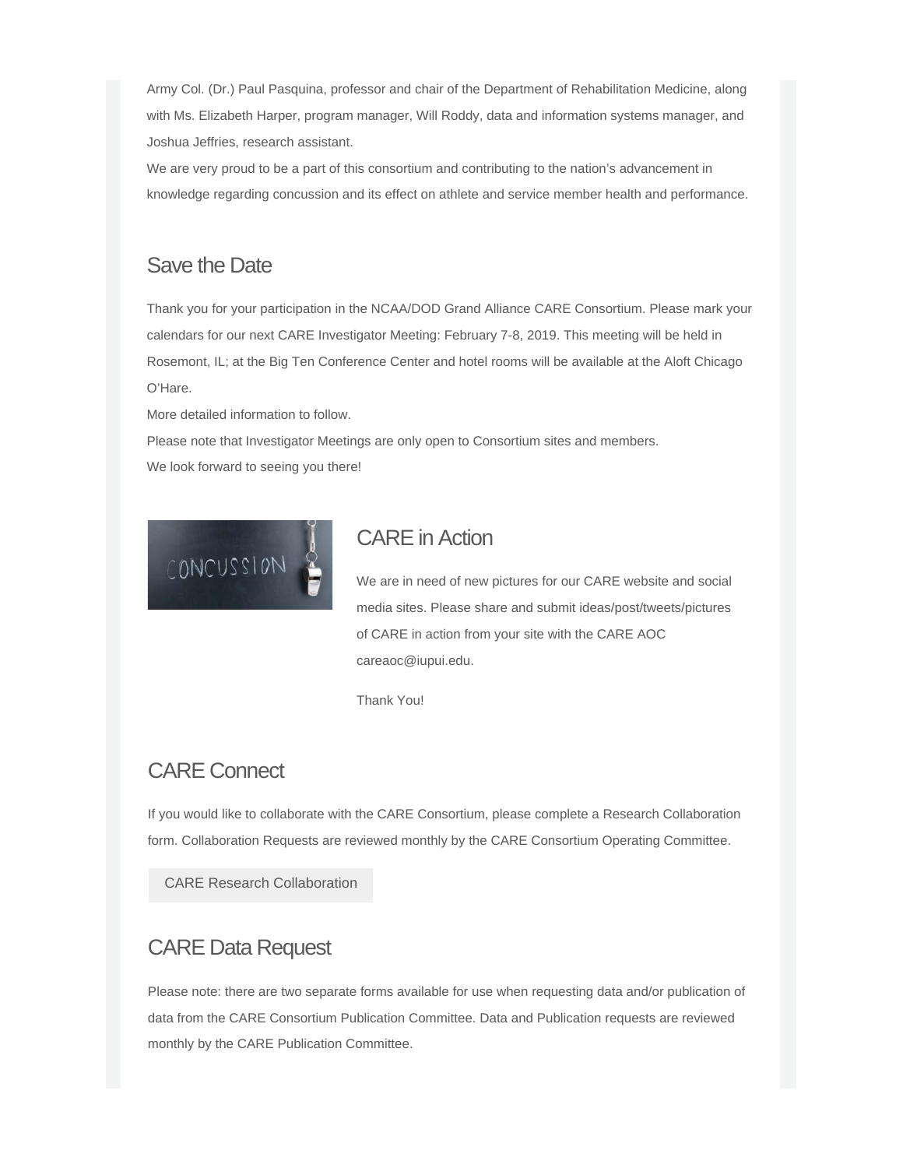Army Col. (Dr.) Paul Pasquina, professor and chair of the Department of Rehabilitation Medicine, along with Ms. Elizabeth Harper, program manager, Will Roddy, data and information systems manager, and Joshua Jeffries, research assistant.

We are very proud to be a part of this consortium and contributing to the nation's advancement in knowledge regarding concussion and its effect on athlete and service member health and performance.

#### Save the Date

Thank you for your participation in the NCAA/DOD Grand Alliance CARE Consortium. Please mark your calendars for our next CARE Investigator Meeting: February 7-8, 2019. This meeting will be held in Rosemont, IL; at the Big Ten Conference Center and hotel rooms will be available at the Aloft Chicago O'Hare.

More detailed information to follow.

Please note that Investigator Meetings are only open to Consortium sites and members. We look forward to seeing you there!



# CARE in Action

We are in need of new pictures for our CARE website and social media sites. Please share and submit ideas/post/tweets/pictures of CARE in action from your site with the CARE AOC careaoc@iupui.edu.

Thank You!

# CARE Connect

If you would like to collaborate with the CARE Consortium, please complete a Research Collaboration form. Collaboration Requests are reviewed monthly by the CARE Consortium Operating Committee.

CARE Research [Collaboration](http://careconsortium.net/mailster/2818/7232e321d230c175912fcbbafb0ae99d/aHR0cHM6Ly9yZWRjYXAudWl0cy5pdS5lZHUvc3VydmV5cy8_cz1uZ1VRcHdpdUhH)

# CARE Data Request

Please note: there are two separate forms available for use when requesting data and/or publication of data from the CARE Consortium Publication Committee. Data and Publication requests are reviewed monthly by the CARE Publication Committee.